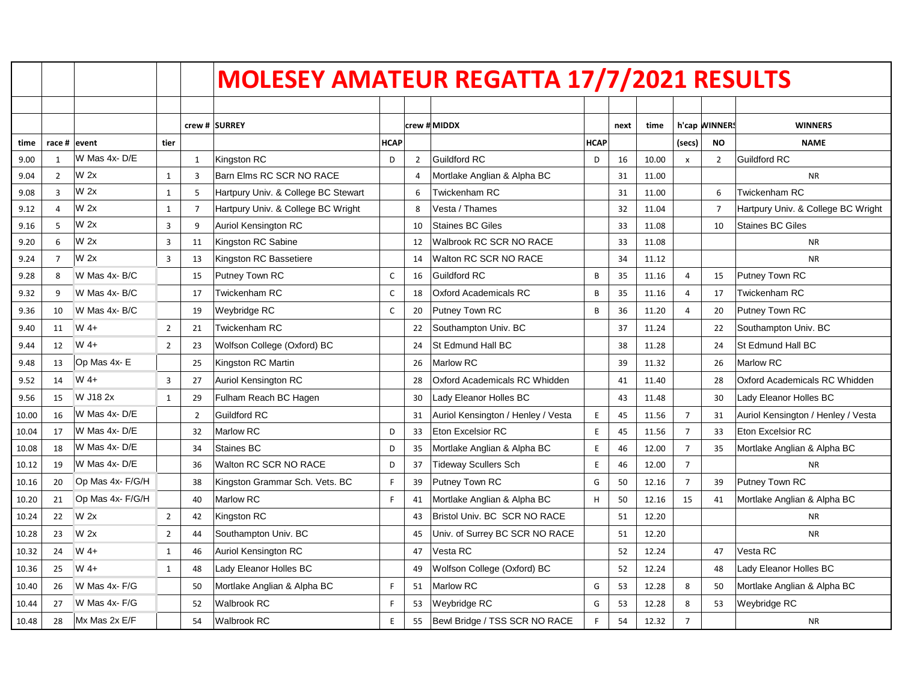|       |                |                  |                |                | <b>MOLESEY AMATEUR REGATTA 17/7/2021 RESULTS</b> |              |                |                                    |             |      |       |                |                |                                    |
|-------|----------------|------------------|----------------|----------------|--------------------------------------------------|--------------|----------------|------------------------------------|-------------|------|-------|----------------|----------------|------------------------------------|
|       |                |                  |                |                |                                                  |              |                |                                    |             |      |       |                |                |                                    |
|       |                |                  |                | crew#          | <b>SURREY</b>                                    |              |                | crew # MIDDX                       |             | next | time  |                | h'cap WINNERS  | <b>WINNERS</b>                     |
| time  | race #         | levent           | tier           |                |                                                  | <b>HCAP</b>  |                |                                    | <b>HCAP</b> |      |       | (secs)         | <b>NO</b>      | <b>NAME</b>                        |
| 9.00  | 1              | W Mas 4x-D/E     |                | 1              | Kingston RC                                      | D            | $\overline{2}$ | <b>Guildford RC</b>                | D           | 16   | 10.00 | $\pmb{\times}$ | $\overline{2}$ | <b>Guildford RC</b>                |
| 9.04  | $\overline{2}$ | W <sub>2x</sub>  | $\mathbf{1}$   | 3              | Barn Elms RC SCR NO RACE                         |              | $\overline{4}$ | Mortlake Anglian & Alpha BC        |             | 31   | 11.00 |                |                | <b>NR</b>                          |
| 9.08  | 3              | W 2x             | $\mathbf{1}$   | 5              | Hartpury Univ. & College BC Stewart              |              | 6              | Twickenham RC                      |             | 31   | 11.00 |                | 6              | Twickenham RC                      |
| 9.12  | 4              | W <sub>2x</sub>  | $\mathbf{1}$   | $\overline{7}$ | Hartpury Univ. & College BC Wright               |              | 8              | Vesta / Thames                     |             | 32   | 11.04 |                | $\overline{7}$ | Hartpury Univ. & College BC Wright |
| 9.16  | 5              | W 2x             | 3              | 9              | <b>Auriol Kensington RC</b>                      |              | 10             | <b>Staines BC Giles</b>            |             | 33   | 11.08 |                | 10             | <b>Staines BC Giles</b>            |
| 9.20  | 6              | W 2x             | $\overline{3}$ | 11             | Kingston RC Sabine                               |              | 12             | Walbrook RC SCR NO RACE            |             | 33   | 11.08 |                |                | <b>NR</b>                          |
| 9.24  | $\overline{7}$ | W 2x             | 3              | 13             | Kingston RC Bassetiere                           |              | 14             | Walton RC SCR NO RACE              |             | 34   | 11.12 |                |                | <b>NR</b>                          |
| 9.28  | 8              | W Mas 4x-B/C     |                | 15             | Putney Town RC                                   | $\mathsf{C}$ | 16             | Guildford RC                       | B           | 35   | 11.16 | $\overline{4}$ | 15             | Putney Town RC                     |
| 9.32  | 9              | W Mas 4x-B/C     |                | 17             | Twickenham RC                                    | $\mathsf{C}$ | 18             | <b>Oxford Academicals RC</b>       | B           | 35   | 11.16 | $\overline{4}$ | 17             | Twickenham RC                      |
| 9.36  | 10             | W Mas 4x-B/C     |                | 19             | Weybridge RC                                     | C            | 20             | Putney Town RC                     | B           | 36   | 11.20 | $\overline{4}$ | 20             | Putney Town RC                     |
| 9.40  | 11             | W 4+             | $\overline{2}$ | 21             | Twickenham RC                                    |              | 22             | Southampton Univ. BC               |             | 37   | 11.24 |                | 22             | Southampton Univ. BC               |
| 9.44  | 12             | $W_4+$           | $\overline{2}$ | 23             | Wolfson College (Oxford) BC                      |              | 24             | St Edmund Hall BC                  |             | 38   | 11.28 |                | 24             | St Edmund Hall BC                  |
| 9.48  | 13             | Op Mas 4x-E      |                | 25             | Kingston RC Martin                               |              | 26             | Marlow RC                          |             | 39   | 11.32 |                | 26             | Marlow RC                          |
| 9.52  | 14             | W 4+             | 3              | 27             | Auriol Kensington RC                             |              | 28             | Oxford Academicals RC Whidden      |             | 41   | 11.40 |                | 28             | Oxford Academicals RC Whidden      |
| 9.56  | 15             | W J18 2x         | 1              | 29             | Fulham Reach BC Hagen                            |              | 30             | Lady Eleanor Holles BC             |             | 43   | 11.48 |                | 30             | Lady Eleanor Holles BC             |
| 10.00 | 16             | W Mas 4x-D/E     |                | $\mathcal{P}$  | Guildford RC                                     |              | 31             | Auriol Kensington / Henley / Vesta | $\mathsf E$ | 45   | 11.56 | $\overline{7}$ | 31             | Auriol Kensington / Henley / Vesta |
| 10.04 | 17             | W Mas 4x-D/E     |                | 32             | Marlow RC                                        | D            | 33             | Eton Excelsior RC                  | E           | 45   | 11.56 | $\overline{7}$ | 33             | Eton Excelsior RC                  |
| 10.08 | 18             | W Mas 4x-D/E     |                | 34             | Staines BC                                       | D            | 35             | Mortlake Anglian & Alpha BC        | $\mathsf E$ | 46   | 12.00 | $\overline{7}$ | 35             | Mortlake Anglian & Alpha BC        |
| 10.12 | 19             | W Mas 4x-D/E     |                | 36             | Walton RC SCR NO RACE                            | D            | 37             | <b>Tideway Scullers Sch</b>        | $\mathsf E$ | 46   | 12.00 | $\overline{7}$ |                | <b>NR</b>                          |
| 10.16 | 20             | Op Mas 4x- F/G/H |                | 38             | Kingston Grammar Sch. Vets. BC                   | F            | 39             | Putney Town RC                     | G           | 50   | 12.16 | $\overline{7}$ | 39             | Putney Town RC                     |
| 10.20 | 21             | Op Mas 4x- F/G/H |                | 40             | Marlow RC                                        | F.           | 41             | Mortlake Anglian & Alpha BC        | H           | 50   | 12.16 | 15             | 41             | Mortlake Anglian & Alpha BC        |
| 10.24 | 22             | W <sub>2x</sub>  | $\overline{2}$ | 42             | Kingston RC                                      |              | 43             | Bristol Univ. BC SCR NO RACE       |             | 51   | 12.20 |                |                | <b>NR</b>                          |
| 10.28 | 23             | W 2x             | $\overline{2}$ | 44             | Southampton Univ. BC                             |              | 45             | Univ. of Surrey BC SCR NO RACE     |             | 51   | 12.20 |                |                | <b>NR</b>                          |
| 10.32 | 24             | $W$ 4+           | $\mathbf{1}$   | 46             | Auriol Kensington RC                             |              | 47             | Vesta RC                           |             | 52   | 12.24 |                | 47             | Vesta RC                           |
| 10.36 | 25             | $W$ 4+           | 1              | 48             | Lady Eleanor Holles BC                           |              | 49             | Wolfson College (Oxford) BC        |             | 52   | 12.24 |                | 48             | Lady Eleanor Holles BC             |
| 10.40 | 26             | W Mas 4x-F/G     |                | 50             | Mortlake Anglian & Alpha BC                      | F.           | 51             | Marlow RC                          | G           | 53   | 12.28 | 8              | 50             | Mortlake Anglian & Alpha BC        |
| 10.44 | 27             | W Mas 4x-F/G     |                | 52             | Walbrook RC                                      | F            | 53             | Weybridge RC                       | G           | 53   | 12.28 | 8              | 53             | Weybridge RC                       |
| 10.48 | 28             | Mx Mas 2x E/F    |                | 54             | <b>Walbrook RC</b>                               | E            | 55             | Bewl Bridge / TSS SCR NO RACE      | F.          | 54   | 12.32 | $\overline{7}$ |                | <b>NR</b>                          |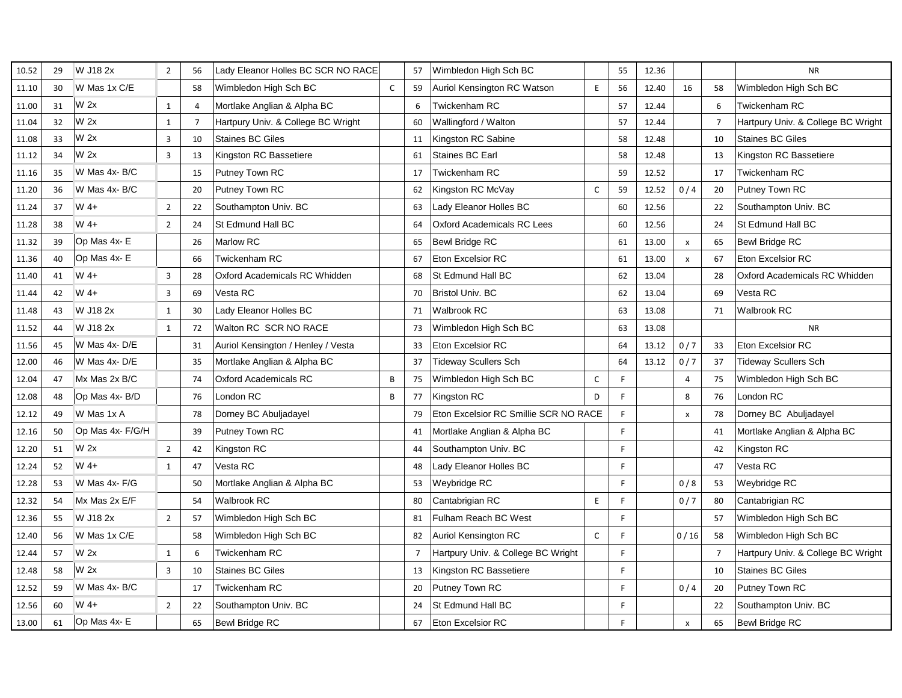| 10.52 | 29 | W J18 2x         | $\overline{2}$          | 56             | Lady Eleanor Holles BC SCR NO RACE |              | 57             | Wimbledon High Sch BC                 |              | 55 | 12.36 |                |                | <b>NR</b>                          |
|-------|----|------------------|-------------------------|----------------|------------------------------------|--------------|----------------|---------------------------------------|--------------|----|-------|----------------|----------------|------------------------------------|
| 11.10 | 30 | W Mas 1x C/E     |                         | 58             | Wimbledon High Sch BC              | $\mathsf{C}$ | 59             | Auriol Kensington RC Watson           | E            | 56 | 12.40 | 16             | 58             | Wimbledon High Sch BC              |
| 11.00 | 31 | W <sub>2x</sub>  | $\mathbf{1}$            | $\overline{4}$ | Mortlake Anglian & Alpha BC        |              | 6              | Twickenham RC                         |              | 57 | 12.44 |                | 6              | <b>Twickenham RC</b>               |
| 11.04 | 32 | W <sub>2x</sub>  | $\mathbf{1}$            | $\overline{7}$ | Hartpury Univ. & College BC Wright |              | 60             | Wallingford / Walton                  |              | 57 | 12.44 |                | $\overline{7}$ | Hartpury Univ. & College BC Wright |
| 11.08 | 33 | W <sub>2x</sub>  | $\overline{3}$          | 10             | <b>Staines BC Giles</b>            |              | 11             | Kingston RC Sabine                    |              | 58 | 12.48 |                | 10             | <b>Staines BC Giles</b>            |
| 11.12 | 34 | W <sub>2x</sub>  | $\overline{\mathbf{3}}$ | 13             | Kingston RC Bassetiere             |              | 61             | Staines BC Earl                       |              | 58 | 12.48 |                | 13             | Kingston RC Bassetiere             |
| 11.16 | 35 | W Mas 4x-B/C     |                         | 15             | Putney Town RC                     |              | 17             | Twickenham RC                         |              | 59 | 12.52 |                | 17             | Twickenham RC                      |
| 11.20 | 36 | W Mas 4x-B/C     |                         | 20             | Putney Town RC                     |              | 62             | Kingston RC McVay                     | $\mathsf{C}$ | 59 | 12.52 | 0/4            | 20             | Putney Town RC                     |
| 11.24 | 37 | W 4+             | $\overline{2}$          | 22             | Southampton Univ. BC               |              | 63             | Lady Eleanor Holles BC                |              | 60 | 12.56 |                | 22             | Southampton Univ. BC               |
| 11.28 | 38 | W 4+             | $\overline{2}$          | 24             | St Edmund Hall BC                  |              | 64             | Oxford Academicals RC Lees            |              | 60 | 12.56 |                | 24             | St Edmund Hall BC                  |
| 11.32 | 39 | Op Mas 4x-E      |                         | 26             | <b>Marlow RC</b>                   |              | 65             | <b>Bewl Bridge RC</b>                 |              | 61 | 13.00 | $\pmb{\times}$ | 65             | <b>Bewl Bridge RC</b>              |
| 11.36 | 40 | Op Mas 4x-E      |                         | 66             | <b>Twickenham RC</b>               |              | 67             | Eton Excelsior RC                     |              | 61 | 13.00 | $\pmb{\times}$ | 67             | <b>Eton Excelsior RC</b>           |
| 11.40 | 41 | W 4+             | $\overline{3}$          | 28             | Oxford Academicals RC Whidden      |              | 68             | St Edmund Hall BC                     |              | 62 | 13.04 |                | 28             | Oxford Academicals RC Whidden      |
| 11.44 | 42 | W 4+             | 3                       | 69             | Vesta RC                           |              | 70             | <b>Bristol Univ. BC</b>               |              | 62 | 13.04 |                | 69             | Vesta RC                           |
| 11.48 | 43 | W J18 2x         | $\mathbf{1}$            | 30             | Lady Eleanor Holles BC             |              | 71             | <b>Walbrook RC</b>                    |              | 63 | 13.08 |                | 71             | Walbrook RC                        |
| 11.52 | 44 | W J18 2x         | $\mathbf{1}$            | 72             | Walton RC SCR NO RACE              |              | 73             | Wimbledon High Sch BC                 |              | 63 | 13.08 |                |                | <b>NR</b>                          |
| 11.56 | 45 | W Mas 4x-D/E     |                         | 31             | Auriol Kensington / Henley / Vesta |              | 33             | <b>Eton Excelsior RC</b>              |              | 64 | 13.12 | 0/7            | 33             | Eton Excelsior RC                  |
| 12.00 | 46 | W Mas 4x-D/E     |                         | 35             | Mortlake Anglian & Alpha BC        |              | 37             | <b>Tideway Scullers Sch</b>           |              | 64 | 13.12 | 0/7            | 37             | <b>Tideway Scullers Sch</b>        |
| 12.04 | 47 | Mx Mas 2x B/C    |                         | 74             | <b>Oxford Academicals RC</b>       | B            | 75             | Wimbledon High Sch BC                 | C            | F  |       | $\overline{4}$ | 75             | Wimbledon High Sch BC              |
| 12.08 | 48 | Op Mas 4x-B/D    |                         | 76             | London RC                          | B            | 77             | Kingston RC                           | D            | F  |       | 8              | 76             | London RC                          |
| 12.12 | 49 | W Mas 1x A       |                         | 78             | Dorney BC Abuljadayel              |              | 79             | Eton Excelsior RC Smillie SCR NO RACE |              | F  |       | $\pmb{\times}$ | 78             | Dorney BC Abuljadayel              |
| 12.16 | 50 | Op Mas 4x- F/G/H |                         | 39             | Putney Town RC                     |              | 41             | Mortlake Anglian & Alpha BC           |              | F. |       |                | 41             | Mortlake Anglian & Alpha BC        |
| 12.20 | 51 | W <sub>2x</sub>  | $\overline{2}$          | 42             | Kingston RC                        |              | 44             | Southampton Univ. BC                  |              | F  |       |                | 42             | Kingston RC                        |
| 12.24 | 52 | W 4+             | $\mathbf{1}$            | 47             | Vesta RC                           |              | 48             | Lady Eleanor Holles BC                |              | F. |       |                | 47             | Vesta RC                           |
| 12.28 | 53 | W Mas 4x-F/G     |                         | 50             | Mortlake Anglian & Alpha BC        |              | 53             | Weybridge RC                          |              | F. |       | 0/8            | 53             | Weybridge RC                       |
| 12.32 | 54 | Mx Mas 2x E/F    |                         | 54             | <b>Walbrook RC</b>                 |              | 80             | Cantabrigian RC                       | E            | F. |       | 0/7            | 80             | Cantabrigian RC                    |
| 12.36 | 55 | W J18 2x         | $\overline{2}$          | 57             | Wimbledon High Sch BC              |              | 81             | Fulham Reach BC West                  |              | F  |       |                | 57             | Wimbledon High Sch BC              |
| 12.40 | 56 | W Mas 1x C/E     |                         | 58             | Wimbledon High Sch BC              |              | 82             | Auriol Kensington RC                  | $\mathsf{C}$ | F  |       | 0/16           | 58             | Wimbledon High Sch BC              |
| 12.44 | 57 | W <sub>2x</sub>  | $\mathbf{1}$            | 6              | Twickenham RC                      |              | $\overline{7}$ | Hartpury Univ. & College BC Wright    |              | F  |       |                | $\overline{7}$ | Hartpury Univ. & College BC Wright |
| 12.48 | 58 | W <sub>2x</sub>  | $\overline{\mathbf{3}}$ | 10             | <b>Staines BC Giles</b>            |              | 13             | Kingston RC Bassetiere                |              | F. |       |                | 10             | <b>Staines BC Giles</b>            |
| 12.52 | 59 | W Mas 4x-B/C     |                         | 17             | Twickenham RC                      |              | 20             | Putney Town RC                        |              | F. |       | 0/4            | 20             | Putney Town RC                     |
| 12.56 | 60 | W 4+             | $\overline{2}$          | 22             | Southampton Univ. BC               |              | 24             | St Edmund Hall BC                     |              | F  |       |                | 22             | Southampton Univ. BC               |
| 13.00 | 61 | Op Mas 4x-E      |                         | 65             | <b>Bewl Bridge RC</b>              |              | 67             | <b>Eton Excelsior RC</b>              |              | F  |       | $\pmb{\times}$ | 65             | Bewl Bridge RC                     |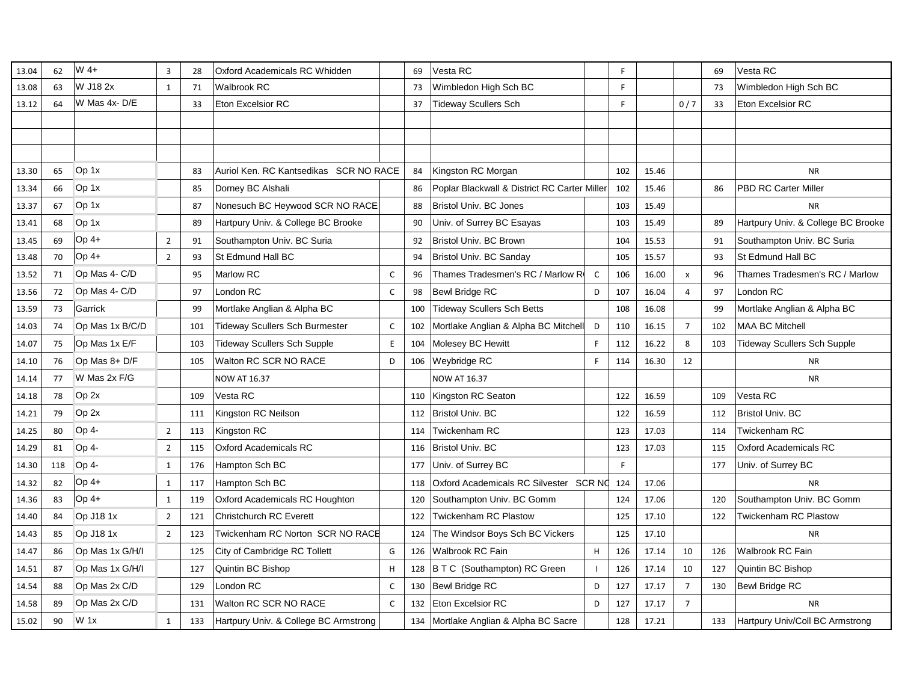| 13.04 | 62  | W 4+            | $\overline{3}$ | 28  | Oxford Academicals RC Whidden          |              | 69  | Vesta RC                                     |              | F   |       |                | 69  | Vesta RC                           |
|-------|-----|-----------------|----------------|-----|----------------------------------------|--------------|-----|----------------------------------------------|--------------|-----|-------|----------------|-----|------------------------------------|
| 13.08 | 63  | W J18 2x        | $\mathbf{1}$   | 71  | Walbrook RC                            |              | 73  | Wimbledon High Sch BC                        |              | F   |       |                | 73  | Wimbledon High Sch BC              |
| 13.12 | 64  | W Mas 4x-D/E    |                | 33  | <b>Eton Excelsior RC</b>               |              | 37  | <b>Tideway Scullers Sch</b>                  |              | F   |       | 0/7            | 33  | <b>Eton Excelsior RC</b>           |
|       |     |                 |                |     |                                        |              |     |                                              |              |     |       |                |     |                                    |
|       |     |                 |                |     |                                        |              |     |                                              |              |     |       |                |     |                                    |
|       |     |                 |                |     |                                        |              |     |                                              |              |     |       |                |     |                                    |
| 13.30 | 65  | Op 1x           |                | 83  | Auriol Ken. RC Kantsedikas SCR NO RACE |              | 84  | Kingston RC Morgan                           |              | 102 | 15.46 |                |     | <b>NR</b>                          |
| 13.34 | 66  | Op 1x           |                | 85  | Dorney BC Alshali                      |              | 86  | Poplar Blackwall & District RC Carter Miller |              | 102 | 15.46 |                | 86  | <b>PBD RC Carter Miller</b>        |
| 13.37 | 67  | Op 1x           |                | 87  | Nonesuch BC Heywood SCR NO RACE        |              | 88  | <b>Bristol Univ. BC Jones</b>                |              | 103 | 15.49 |                |     | <b>NR</b>                          |
| 13.41 | 68  | Op 1x           |                | 89  | Hartpury Univ. & College BC Brooke     |              | 90  | Univ. of Surrey BC Esayas                    |              | 103 | 15.49 |                | 89  | Hartpury Univ. & College BC Brooke |
| 13.45 | 69  | $Op 4+$         | $\overline{2}$ | 91  | Southampton Univ. BC Suria             |              | 92  | Bristol Univ. BC Brown                       |              | 104 | 15.53 |                | 91  | Southampton Univ. BC Suria         |
| 13.48 | 70  | $Op 4+$         | $\overline{2}$ | 93  | St Edmund Hall BC                      |              | 94  | Bristol Univ. BC Sanday                      |              | 105 | 15.57 |                | 93  | St Edmund Hall BC                  |
| 13.52 | 71  | Op Mas 4- C/D   |                | 95  | Marlow RC                              | C            | 96  | Thames Tradesmen's RC / Marlow R             | $\mathsf{C}$ | 106 | 16.00 | x              | 96  | Thames Tradesmen's RC / Marlow     |
| 13.56 | 72  | Op Mas 4- C/D   |                | 97  | London RC                              | $\mathsf{C}$ | 98  | <b>Bewl Bridge RC</b>                        | D            | 107 | 16.04 | $\overline{a}$ | 97  | London RC                          |
| 13.59 | 73  | Garrick         |                | 99  | Mortlake Anglian & Alpha BC            |              | 100 | Tideway Scullers Sch Betts                   |              | 108 | 16.08 |                | 99  | Mortlake Anglian & Alpha BC        |
| 14.03 | 74  | Op Mas 1x B/C/D |                | 101 | Tideway Scullers Sch Burmester         | C            | 102 | Mortlake Anglian & Alpha BC Mitchell         | D            | 110 | 16.15 | $\overline{7}$ | 102 | <b>MAA BC Mitchell</b>             |
| 14.07 | 75  | Op Mas 1x E/F   |                | 103 | <b>Tideway Scullers Sch Supple</b>     | E.           | 104 | Molesey BC Hewitt                            | F.           | 112 | 16.22 | 8              | 103 | <b>Tideway Scullers Sch Supple</b> |
| 14.10 | 76  | Op Mas $8+D/F$  |                | 105 | Walton RC SCR NO RACE                  | D            | 106 | <b>Weybridge RC</b>                          | F.           | 114 | 16.30 | 12             |     | <b>NR</b>                          |
| 14.14 | 77  | W Mas 2x F/G    |                |     | <b>NOW AT 16.37</b>                    |              |     | <b>NOW AT 16.37</b>                          |              |     |       |                |     | <b>NR</b>                          |
| 14.18 | 78  | Op 2x           |                | 109 | Vesta RC                               |              | 110 | Kingston RC Seaton                           |              | 122 | 16.59 |                | 109 | Vesta RC                           |
| 14.21 | 79  | Op 2x           |                | 111 | Kingston RC Neilson                    |              | 112 | Bristol Univ. BC                             |              | 122 | 16.59 |                | 112 | <b>Bristol Univ. BC</b>            |
| 14.25 | 80  | Op 4-           | $\overline{2}$ | 113 | Kingston RC                            |              | 114 | Twickenham RC                                |              | 123 | 17.03 |                | 114 | <b>Twickenham RC</b>               |
| 14.29 | 81  | Op 4-           | $\overline{2}$ | 115 | <b>Oxford Academicals RC</b>           |              | 116 | Bristol Univ. BC                             |              | 123 | 17.03 |                | 115 | <b>Oxford Academicals RC</b>       |
| 14.30 | 118 | Op 4-           | $\mathbf{1}$   | 176 | Hampton Sch BC                         |              | 177 | Univ. of Surrey BC                           |              | F   |       |                | 177 | Univ. of Surrey BC                 |
| 14.32 | 82  | $Op$ 4+         | $\mathbf{1}$   | 117 | Hampton Sch BC                         |              | 118 | Oxford Academicals RC Silvester SCR NC       |              | 124 | 17.06 |                |     | <b>NR</b>                          |
| 14.36 | 83  | $Op$ 4+         | $\mathbf{1}$   | 119 | Oxford Academicals RC Houghton         |              | 120 | Southampton Univ. BC Gomm                    |              | 124 | 17.06 |                | 120 | Southampton Univ. BC Gomm          |
| 14.40 | 84  | Op J18 1x       | $\overline{2}$ | 121 | <b>Christchurch RC Everett</b>         |              | 122 | Twickenham RC Plastow                        |              | 125 | 17.10 |                | 122 | <b>Twickenham RC Plastow</b>       |
| 14.43 | 85  | Op J18 1x       | $\overline{2}$ | 123 | Twickenham RC Norton SCR NO RACE       |              | 124 | The Windsor Boys Sch BC Vickers              |              | 125 | 17.10 |                |     | <b>NR</b>                          |
| 14.47 | 86  | Op Mas 1x G/H/I |                | 125 | City of Cambridge RC Tollett           | G            | 126 | Walbrook RC Fain                             | H            | 126 | 17.14 | 10             | 126 | Walbrook RC Fain                   |
| 14.51 | 87  | Op Mas 1x G/H/I |                | 127 | Quintin BC Bishop                      | H            |     | 128 B T C (Southampton) RC Green             |              | 126 | 17.14 | 10             | 127 | Quintin BC Bishop                  |
| 14.54 | 88  | Op Mas 2x C/D   |                | 129 | London RC                              | C            | 130 | Bewl Bridge RC                               | D            | 127 | 17.17 | $\overline{7}$ | 130 | <b>Bewl Bridge RC</b>              |
| 14.58 | 89  | Op Mas 2x C/D   |                | 131 | Walton RC SCR NO RACE                  | $\mathsf{C}$ | 132 | <b>Eton Excelsior RC</b>                     | D            | 127 | 17.17 | $\overline{7}$ |     | <b>NR</b>                          |
| 15.02 | 90  | $W_1x$          | $\mathbf{1}$   | 133 | Hartpury Univ. & College BC Armstrong  |              |     | 134 Mortlake Anglian & Alpha BC Sacre        |              | 128 | 17.21 |                | 133 | Hartpury Univ/Coll BC Armstrong    |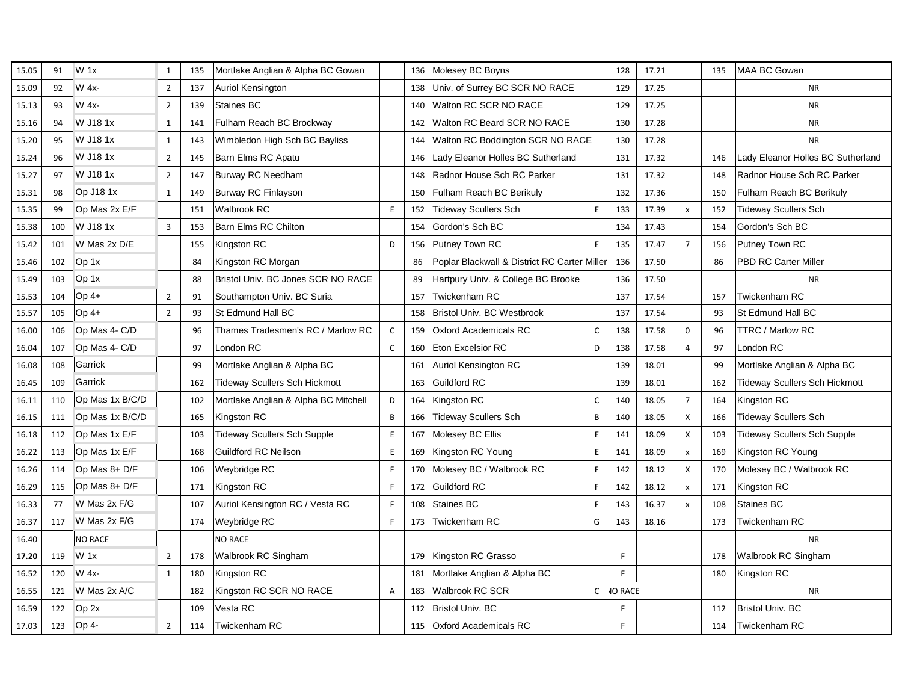| 15.05 | 91  | $W_1$           | 1              | 135 | Mortlake Anglian & Alpha BC Gowan    |             | 136 | Molesey BC Boyns                             | 128            | 17.21 |                           | 135 | <b>MAA BC Gowan</b>                  |
|-------|-----|-----------------|----------------|-----|--------------------------------------|-------------|-----|----------------------------------------------|----------------|-------|---------------------------|-----|--------------------------------------|
| 15.09 | 92  | W 4x-           | $\overline{2}$ | 137 | Auriol Kensington                    |             | 138 | Univ. of Surrey BC SCR NO RACE               | 129            | 17.25 |                           |     | <b>NR</b>                            |
| 15.13 | 93  | W 4x-           | $\overline{2}$ | 139 | Staines BC                           |             | 140 | Walton RC SCR NO RACE                        | 129            | 17.25 |                           |     | <b>NR</b>                            |
| 15.16 | 94  | W J18 1x        | $\mathbf{1}$   | 141 | Fulham Reach BC Brockway             |             | 142 | Walton RC Beard SCR NO RACE                  | 130            | 17.28 |                           |     | <b>NR</b>                            |
| 15.20 | 95  | W J18 1x        | $\mathbf{1}$   | 143 | Wimbledon High Sch BC Bayliss        |             | 144 | Walton RC Boddington SCR NO RACE             | 130            | 17.28 |                           |     | <b>NR</b>                            |
| 15.24 | 96  | W J18 1x        | $\overline{2}$ | 145 | Barn Elms RC Apatu                   |             | 146 | Lady Eleanor Holles BC Sutherland            | 131            | 17.32 |                           | 146 | Lady Eleanor Holles BC Sutherland    |
| 15.27 | 97  | W J18 1x        | $\overline{2}$ | 147 | <b>Burway RC Needham</b>             |             | 148 | Radnor House Sch RC Parker                   | 131            | 17.32 |                           | 148 | Radnor House Sch RC Parker           |
| 15.31 | 98  | Op J18 1x       | $\mathbf{1}$   | 149 | <b>Burway RC Finlayson</b>           |             | 150 | Fulham Reach BC Berikuly                     | 132            | 17.36 |                           | 150 | Fulham Reach BC Berikuly             |
| 15.35 | 99  | Op Mas 2x E/F   |                | 151 | <b>Walbrook RC</b>                   | E           | 152 | <b>Tideway Scullers Sch</b><br>E             | 133            | 17.39 | $\mathsf{x}$              | 152 | <b>Tideway Scullers Sch</b>          |
| 15.38 | 100 | W J18 1x        | $\overline{3}$ | 153 | <b>Barn Elms RC Chilton</b>          |             | 154 | Gordon's Sch BC                              | 134            | 17.43 |                           | 154 | Gordon's Sch BC                      |
| 15.42 | 101 | W Mas 2x D/E    |                | 155 | Kingston RC                          | D           | 156 | Putney Town RC<br>E                          | 135            | 17.47 | $\overline{7}$            | 156 | Putney Town RC                       |
| 15.46 | 102 | Op 1x           |                | 84  | Kingston RC Morgan                   |             | 86  | Poplar Blackwall & District RC Carter Miller | 136            | 17.50 |                           | 86  | <b>PBD RC Carter Miller</b>          |
| 15.49 | 103 | Op 1x           |                | 88  | Bristol Univ. BC Jones SCR NO RACE   |             | 89  | Hartpury Univ. & College BC Brooke           | 136            | 17.50 |                           |     | <b>NR</b>                            |
| 15.53 | 104 | Op 4+           | $\overline{2}$ | 91  | Southampton Univ. BC Suria           |             | 157 | <b>Twickenham RC</b>                         | 137            | 17.54 |                           | 157 | Twickenham RC                        |
| 15.57 | 105 | $Op4+$          | $\overline{2}$ | 93  | St Edmund Hall BC                    |             | 158 | Bristol Univ. BC Westbrook                   | 137            | 17.54 |                           | 93  | St Edmund Hall BC                    |
| 16.00 | 106 | Op Mas 4- C/D   |                | 96  | Thames Tradesmen's RC / Marlow RC    | $\mathsf C$ | 159 | <b>Oxford Academicals RC</b><br>C            | 138            | 17.58 | 0                         | 96  | <b>TTRC / Marlow RC</b>              |
| 16.04 | 107 | Op Mas 4- C/D   |                | 97  | London RC                            | $\mathsf C$ | 160 | <b>Eton Excelsior RC</b><br>D                | 138            | 17.58 | $\overline{4}$            | 97  | London RC                            |
| 16.08 | 108 | Garrick         |                | 99  | Mortlake Anglian & Alpha BC          |             | 161 | Auriol Kensington RC                         | 139            | 18.01 |                           | 99  | Mortlake Anglian & Alpha BC          |
| 16.45 | 109 | Garrick         |                | 162 | <b>Tideway Scullers Sch Hickmott</b> |             | 163 | <b>Guildford RC</b>                          | 139            | 18.01 |                           | 162 | <b>Tideway Scullers Sch Hickmott</b> |
| 16.11 | 110 | Op Mas 1x B/C/D |                | 102 | Mortlake Anglian & Alpha BC Mitchell | D           | 164 | Kingston RC<br>C                             | 140            | 18.05 | $\overline{7}$            | 164 | Kingston RC                          |
| 16.15 | 111 | Op Mas 1x B/C/D |                | 165 | Kingston RC                          | B           | 166 | <b>Tideway Scullers Sch</b><br>B             | 140            | 18.05 | $\mathsf{x}$              | 166 | <b>Tideway Scullers Sch</b>          |
| 16.18 | 112 | Op Mas 1x E/F   |                | 103 | <b>Tideway Scullers Sch Supple</b>   | E           | 167 | Molesey BC Ellis<br>E                        | 141            | 18.09 | X                         | 103 | <b>Tideway Scullers Sch Supple</b>   |
| 16.22 | 113 | Op Mas 1x E/F   |                | 168 | <b>Guildford RC Neilson</b>          | E           | 169 | Kingston RC Young<br>E                       | 141            | 18.09 | $\pmb{\chi}$              | 169 | Kingston RC Young                    |
| 16.26 | 114 | Op Mas 8+ D/F   |                | 106 | Weybridge RC                         | F           | 170 | Molesey BC / Walbrook RC<br>F                | 142            | 18.12 | X                         | 170 | Molesey BC / Walbrook RC             |
| 16.29 | 115 | Op Mas 8+ D/F   |                | 171 | Kingston RC                          | F           | 172 | <b>Guildford RC</b><br>E                     | 142            | 18.12 | $\pmb{\times}$            | 171 | Kingston RC                          |
| 16.33 | 77  | W Mas 2x F/G    |                | 107 | Auriol Kensington RC / Vesta RC      | F           | 108 | Staines BC<br>F                              | 143            | 16.37 | $\boldsymbol{\mathsf{x}}$ | 108 | Staines BC                           |
| 16.37 | 117 | W Mas 2x F/G    |                | 174 | Weybridge RC                         | F           | 173 | Twickenham RC<br>G                           | 143            | 18.16 |                           | 173 | Twickenham RC                        |
| 16.40 |     | <b>NO RACE</b>  |                |     | <b>NO RACE</b>                       |             |     |                                              |                |       |                           |     | <b>NR</b>                            |
| 17.20 | 119 | $W_1$           | $\overline{2}$ | 178 | Walbrook RC Singham                  |             |     | 179 Kingston RC Grasso                       | F.             |       |                           | 178 | Walbrook RC Singham                  |
| 16.52 | 120 | W 4x-           | $\mathbf{1}$   | 180 | Kingston RC                          |             | 181 | Mortlake Anglian & Alpha BC                  | E              |       |                           | 180 | Kingston RC                          |
| 16.55 | 121 | W Mas 2x A/C    |                | 182 | Kingston RC SCR NO RACE              | A           | 183 | Walbrook RC SCR<br>C                         | <b>JO RACE</b> |       |                           |     | <b>NR</b>                            |
| 16.59 | 122 | Op 2x           |                | 109 | Vesta RC                             |             | 112 | <b>Bristol Univ. BC</b>                      | F              |       |                           | 112 | <b>Bristol Univ. BC</b>              |
| 17.03 | 123 | Op <sub>4</sub> | $\overline{2}$ | 114 | Twickenham RC                        |             | 115 | <b>Oxford Academicals RC</b>                 | F              |       |                           | 114 | <b>Twickenham RC</b>                 |